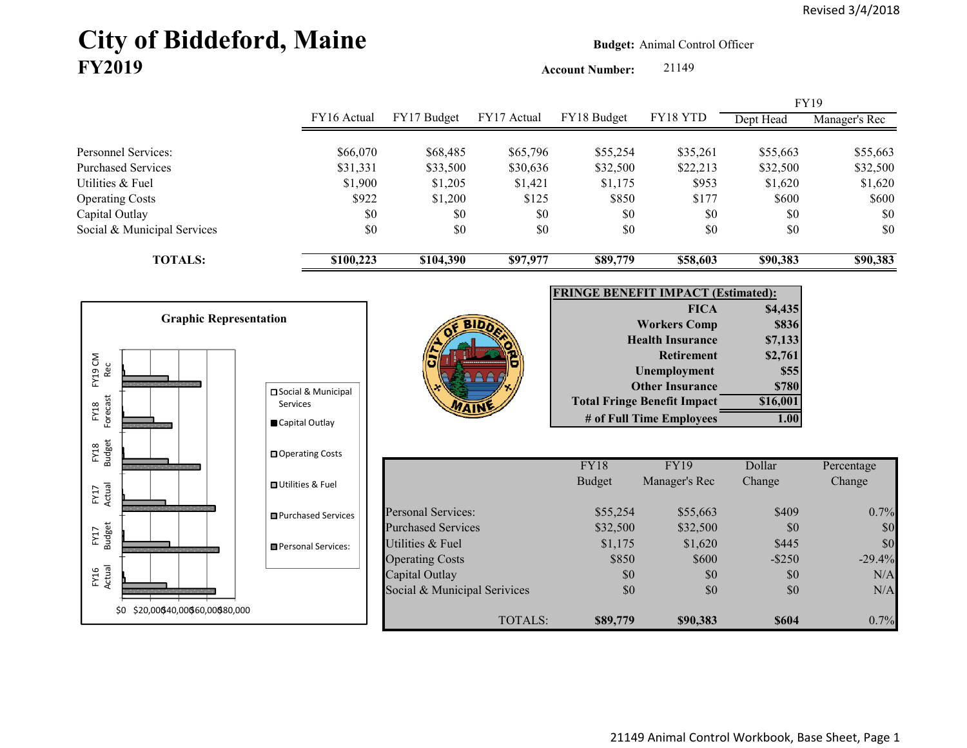# City of Biddeford, Maine **Budget:** Animal Control Officer **FY2019**

Account Number: 21149

|                             |             |             |             |             |          |           | <b>FY19</b>   |
|-----------------------------|-------------|-------------|-------------|-------------|----------|-----------|---------------|
|                             | FY16 Actual | FY17 Budget | FY17 Actual | FY18 Budget | FY18 YTD | Dept Head | Manager's Rec |
|                             |             |             |             |             |          |           |               |
| Personnel Services:         | \$66,070    | \$68,485    | \$65,796    | \$55,254    | \$35,261 | \$55,663  | \$55,663      |
| Purchased Services          | \$31,331    | \$33,500    | \$30,636    | \$32,500    | \$22,213 | \$32,500  | \$32,500      |
| Utilities & Fuel            | \$1,900     | \$1,205     | \$1,421     | \$1,175     | \$953    | \$1,620   | \$1,620       |
| <b>Operating Costs</b>      | \$922       | \$1,200     | \$125       | \$850       | \$177    | \$600     | \$600         |
| Capital Outlay              | \$0         | \$0         | \$0         | \$0         | \$0      | \$0       | \$0           |
| Social & Municipal Services | \$0         | \$0         | \$0         | \$0         | \$0      | \$0       | \$0           |
| <b>TOTALS:</b>              | \$100,223   | \$104,390   | \$97,977    | \$89,779    | \$58,603 | \$90,383  | \$90,383      |
|                             |             |             |             |             |          |           |               |

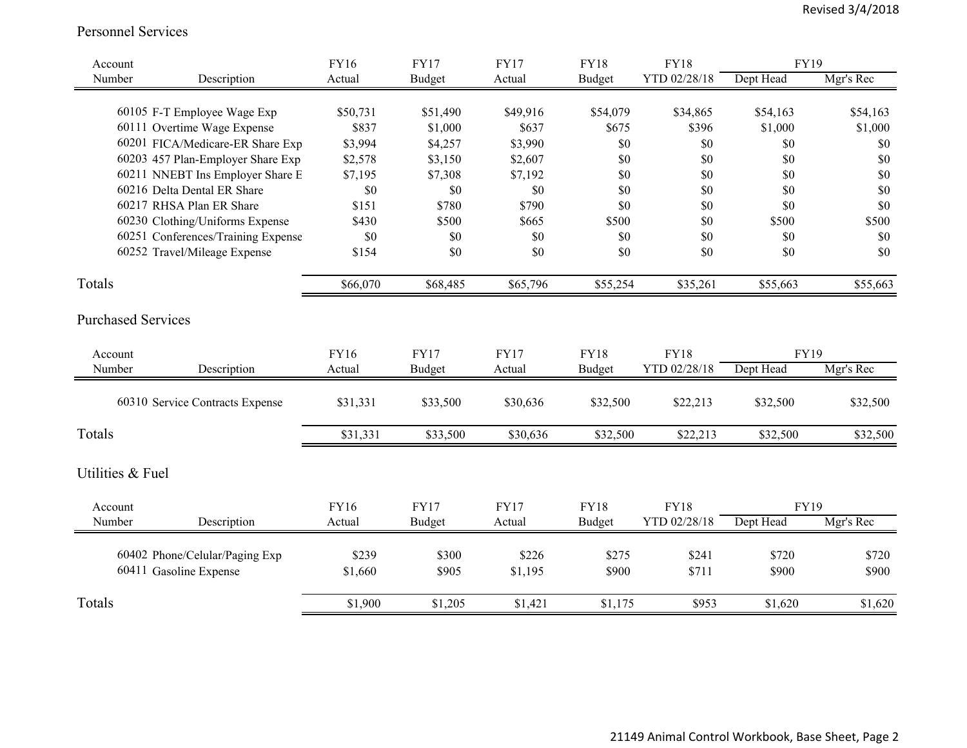#### Personnel Services

| Account                   |                                                          | FY16     | <b>FY17</b>   | <b>FY17</b> | <b>FY18</b>   | <b>FY18</b>  | FY19        |           |
|---------------------------|----------------------------------------------------------|----------|---------------|-------------|---------------|--------------|-------------|-----------|
| Number                    | Description                                              | Actual   | <b>Budget</b> | Actual      | <b>Budget</b> | YTD 02/28/18 | Dept Head   | Mgr's Rec |
|                           | 60105 F-T Employee Wage Exp                              | \$50,731 | \$51,490      | \$49,916    | \$54,079      | \$34,865     | \$54,163    | \$54,163  |
|                           | 60111 Overtime Wage Expense                              | \$837    | \$1,000       | \$637       | \$675         | \$396        | \$1,000     | \$1,000   |
|                           | 60201 FICA/Medicare-ER Share Exp                         | \$3,994  | \$4,257       | \$3,990     | \$0           | \$0          | \$0         | \$0       |
|                           | 60203 457 Plan-Employer Share Exp                        | \$2,578  | \$3,150       | \$2,607     | \$0           | \$0          | \$0         | \$0       |
|                           | 60211 NNEBT Ins Employer Share E                         | \$7,195  | \$7,308       | \$7,192     | \$0           | \$0          | \$0         | \$0       |
|                           | 60216 Delta Dental ER Share                              | \$0      | \$0           | \$0         | \$0           | \$0          | \$0         | \$0       |
|                           | 60217 RHSA Plan ER Share                                 | \$151    | \$780         | \$790       | \$0           | \$0          | \$0         | \$0       |
|                           | 60230 Clothing/Uniforms Expense                          | \$430    | \$500         | \$665       | \$500         | \$0          | \$500       | \$500     |
|                           | 60251 Conferences/Training Expense                       | \$0      | \$0           | \$0         | \$0           | \$0          | \$0         | \$0       |
|                           | 60252 Travel/Mileage Expense                             | \$154    | \$0           | \$0         | \$0           | \$0          | \$0         | \$0       |
| Totals                    |                                                          | \$66,070 | \$68,485      | \$65,796    | \$55,254      | \$35,261     | \$55,663    | \$55,663  |
| <b>Purchased Services</b> |                                                          |          |               |             |               |              |             |           |
| Account                   |                                                          | FY16     | <b>FY17</b>   | <b>FY17</b> | <b>FY18</b>   | <b>FY18</b>  | <b>FY19</b> |           |
| Number                    | Description                                              | Actual   | Budget        | Actual      | Budget        | YTD 02/28/18 | Dept Head   | Mgr's Rec |
|                           | 60310 Service Contracts Expense                          | \$31,331 | \$33,500      | \$30,636    | \$32,500      | \$22,213     | \$32,500    | \$32,500  |
| Totals                    |                                                          | \$31,331 | \$33,500      | \$30,636    | \$32,500      | \$22,213     | \$32,500    | \$32,500  |
| Utilities & Fuel          |                                                          |          |               |             |               |              |             |           |
| Account                   |                                                          | FY16     | <b>FY17</b>   | <b>FY17</b> | <b>FY18</b>   | <b>FY18</b>  | <b>FY19</b> |           |
| Number                    | Description                                              | Actual   | <b>Budget</b> | Actual      | <b>Budget</b> | YTD 02/28/18 | Dept Head   | Mgr's Rec |
|                           |                                                          | \$239    | \$300         | \$226       | \$275         | \$241        | \$720       | \$720     |
|                           | 60402 Phone/Celular/Paging Exp<br>60411 Gasoline Expense | \$1,660  | \$905         | \$1,195     | \$900         | \$711        | \$900       | \$900     |
|                           |                                                          |          |               |             |               |              |             |           |
| Totals                    |                                                          | \$1,900  | \$1,205       | \$1,421     | \$1,175       | \$953        | \$1,620     | \$1,620   |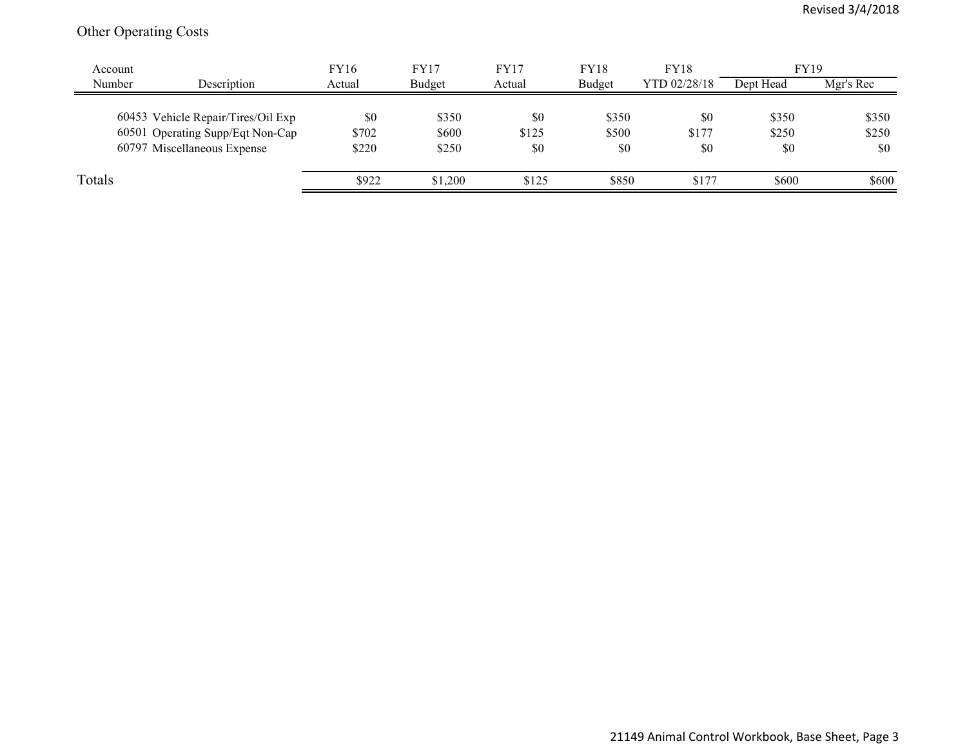## Other Operating Costs

| Account |                                    | <b>FY16</b> | FY17    | FY17   | FY18          | <b>FY18</b>  | <b>FY19</b> |           |
|---------|------------------------------------|-------------|---------|--------|---------------|--------------|-------------|-----------|
| Number  | Description                        | Actual      | Budget  | Actual | <b>Budget</b> | YTD 02/28/18 | Dept Head   | Mgr's Rec |
|         |                                    |             |         |        |               |              |             |           |
|         | 60453 Vehicle Repair/Tires/Oil Exp | \$0         | \$350   | \$0    | \$350         | \$0          | \$350       | \$350     |
|         | 60501 Operating Supp/Eqt Non-Cap   | \$702       | \$600   | \$125  | \$500         | \$177        | \$250       | \$250     |
|         | 60797 Miscellaneous Expense        | \$220       | \$250   | \$0    | \$0           | \$0          | \$0         | \$0       |
|         |                                    |             |         |        |               |              |             |           |
| Totals  |                                    | \$922       | \$1,200 | \$125  | \$850         | \$177        | \$600       | \$600     |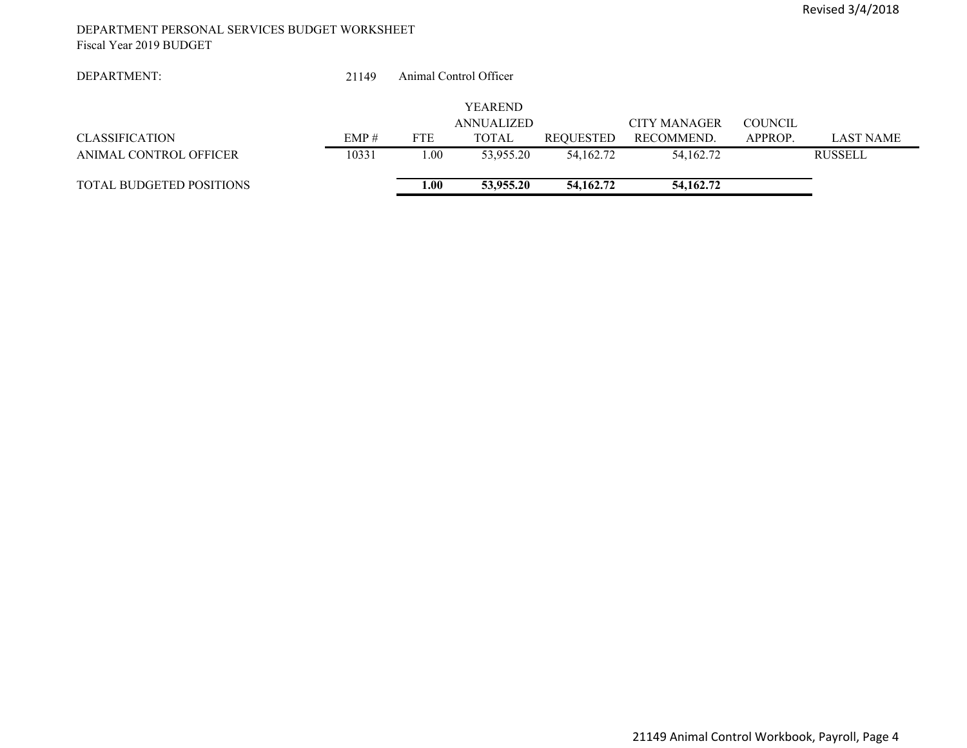#### DEPARTMENT PERSONAL SERVICES BUDGET WORKSHEET Fiscal Year 2019 BUDGET

| DEPARTMENT:                     | 21149 |            | Animal Control Officer       |             |                     |                |                  |
|---------------------------------|-------|------------|------------------------------|-------------|---------------------|----------------|------------------|
|                                 |       |            |                              |             |                     |                |                  |
|                                 |       |            | <b>YEAREND</b><br>ANNUALIZED |             | <b>CITY MANAGER</b> | <b>COUNCIL</b> |                  |
|                                 |       |            |                              |             |                     |                |                  |
| <b>CLASSIFICATION</b>           | EMP#  | <b>FTE</b> | <b>TOTAL</b>                 | REQUESTED   | RECOMMEND.          | APPROP.        | <b>LAST NAME</b> |
| ANIMAL CONTROL OFFICER          | 10331 | 1.00       | 53,955.20                    | 54,162.72   | 54,162.72           |                | <b>RUSSELL</b>   |
| <b>TOTAL BUDGETED POSITIONS</b> |       | 1.00       | 53,955.20                    | 54, 162, 72 | 54, 162. 72         |                |                  |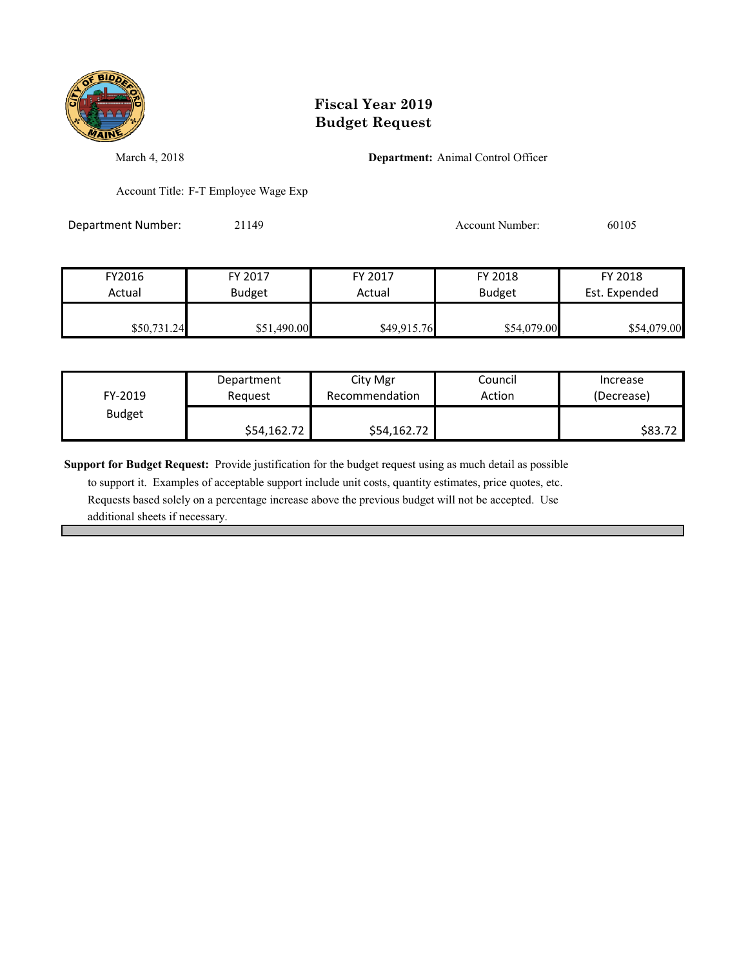

March 4, 2018 **Department:** Animal Control Officer

Account Title: F-T Employee Wage Exp

Department Number: 21149 21149 Account Number: 60105

| FY2016      | FY 2017       | FY 2017     | FY 2018       | FY 2018       |
|-------------|---------------|-------------|---------------|---------------|
| Actual      | <b>Budget</b> | Actual      | <b>Budget</b> | Est. Expended |
|             |               |             |               |               |
| \$50,731.24 | \$51,490.00   | \$49,915.76 | \$54,079.00   | \$54,079.00   |

| FY-2019       | Department  | City Mgr       | Council | Increase   |
|---------------|-------------|----------------|---------|------------|
|               | Reauest     | Recommendation | Action  | (Decrease) |
| <b>Budget</b> | \$54,162.72 | \$54,162.72    |         | \$83.72    |

**Support for Budget Request:** Provide justification for the budget request using as much detail as possible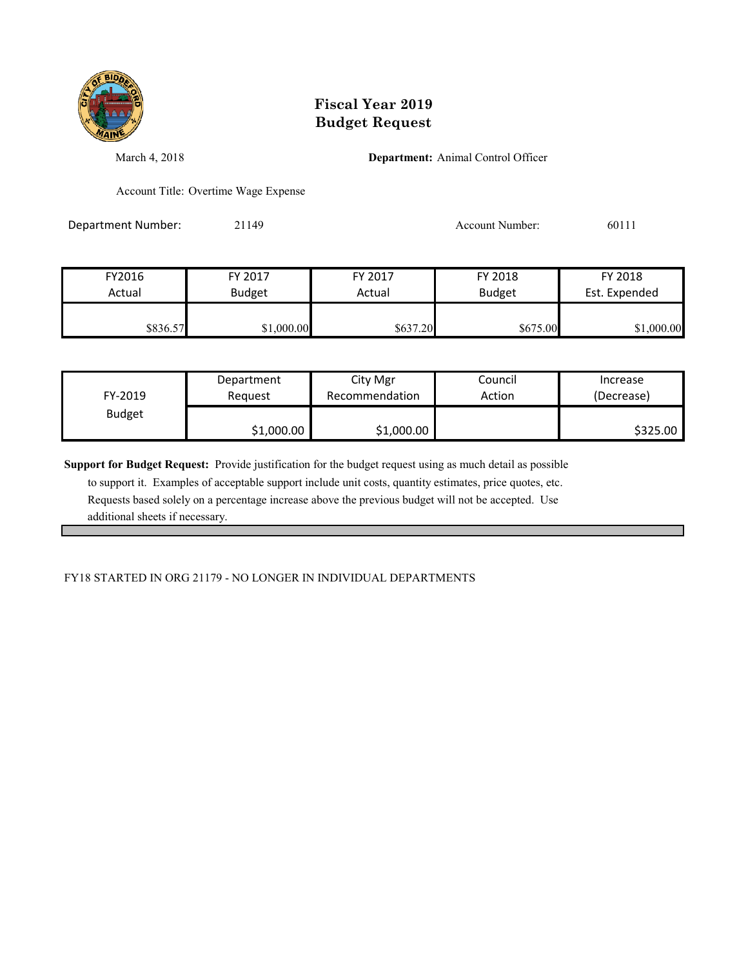

March 4, 2018 **Department:** Animal Control Officer

Account Title: Overtime Wage Expense

Department Number: 21149 21149 Account Number: 60111

| FY2016   | FY 2017       | FY 2017  | FY 2018       | FY 2018       |
|----------|---------------|----------|---------------|---------------|
| Actual   | <b>Budget</b> | Actual   | <b>Budget</b> | Est. Expended |
| \$836.57 | \$1,000.00    | \$637.20 | \$675.00      | \$1,000.00    |

| FY-2019       | Department | City Mgr       | Council | Increase   |
|---------------|------------|----------------|---------|------------|
|               | Reauest    | Recommendation | Action  | (Decrease) |
| <b>Budget</b> | \$1,000.00 | \$1,000.00     |         | \$325.00   |

**Support for Budget Request:** Provide justification for the budget request using as much detail as possible to support it. Examples of acceptable support include unit costs, quantity estimates, price quotes, etc. Requests based solely on a percentage increase above the previous budget will not be accepted. Use additional sheets if necessary.

FY18 STARTED IN ORG 21179 - NO LONGER IN INDIVIDUAL DEPARTMENTS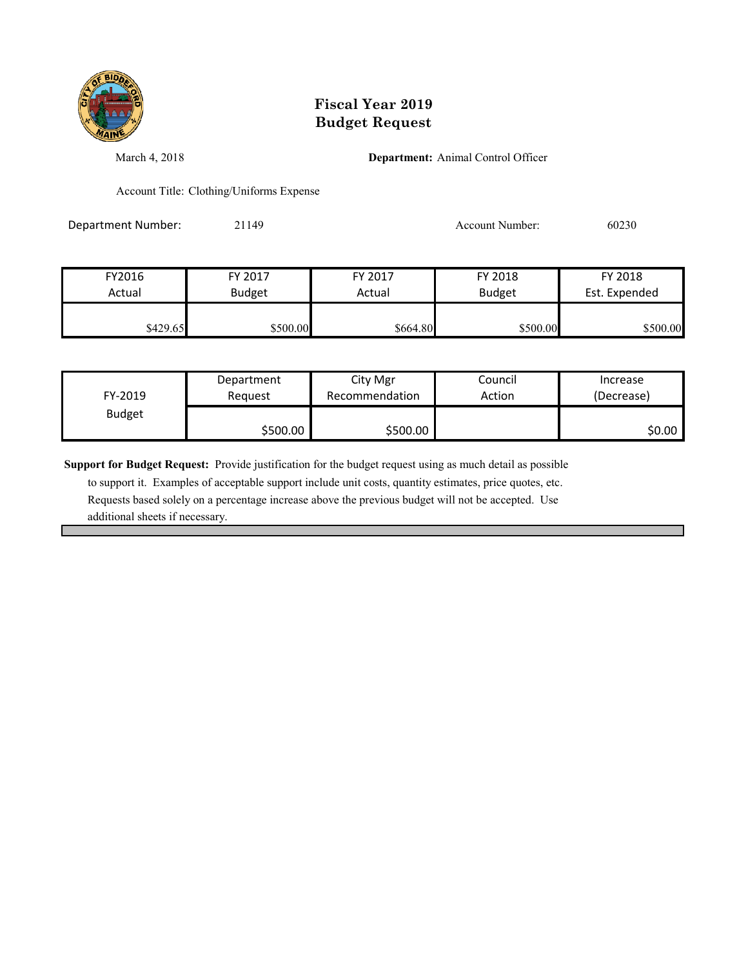

March 4, 2018 **Department:** Animal Control Officer

Account Title: Clothing/Uniforms Expense

Department Number: 21149 21149 Account Number: 60230

| FY2016   | FY 2017       | FY 2017  | FY 2018       | FY 2018       |
|----------|---------------|----------|---------------|---------------|
| Actual   | <b>Budget</b> | Actual   | <b>Budget</b> | Est. Expended |
|          |               |          |               |               |
| \$429.65 | \$500.00      | \$664.80 | \$500.00      | \$500.00      |

| FY-2019       | Department | City Mgr       | Council | Increase   |
|---------------|------------|----------------|---------|------------|
|               | Reauest    | Recommendation | Action  | (Decrease) |
| <b>Budget</b> | \$500.00   | \$500.00       |         | \$0.00∣    |

**Support for Budget Request:** Provide justification for the budget request using as much detail as possible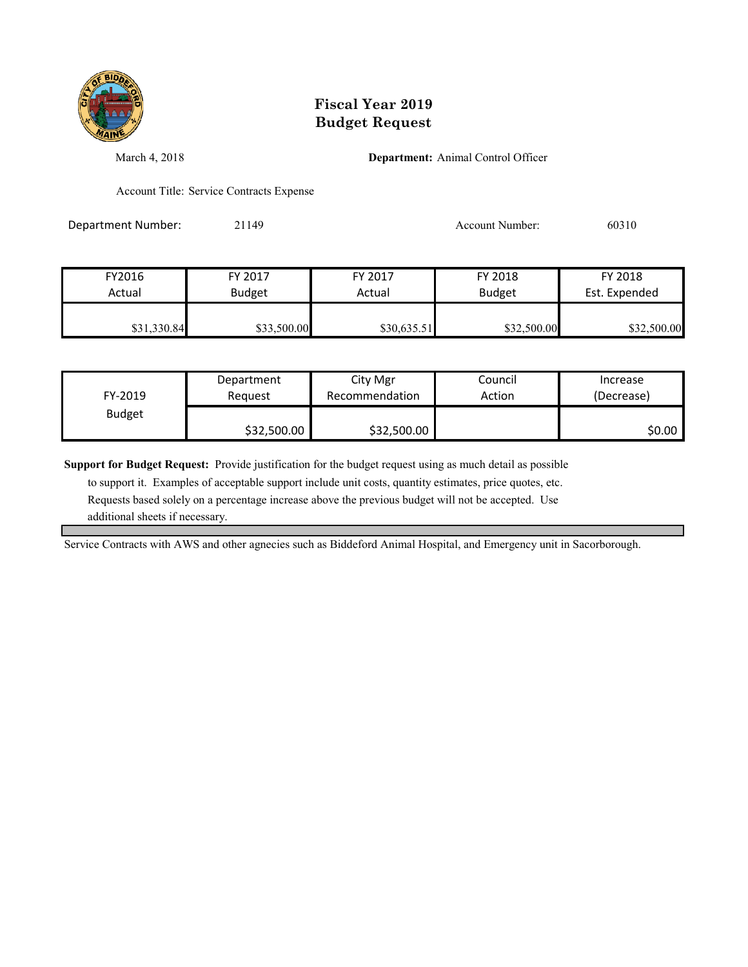

March 4, 2018 **Department:** Animal Control Officer

Account Title: Service Contracts Expense

Department Number: 21149 21149 Account Number: 60310

| FY2016      | FY 2017       | FY 2017     | FY 2018       | FY 2018       |
|-------------|---------------|-------------|---------------|---------------|
| Actual      | <b>Budget</b> | Actual      | <b>Budget</b> | Est. Expended |
|             |               |             |               |               |
| \$31,330.84 | \$33,500.00   | \$30,635.51 | \$32,500.00   | \$32,500.00   |

| FY-2019       | Department  | City Mgr       | Council | Increase   |
|---------------|-------------|----------------|---------|------------|
|               | Reauest     | Recommendation | Action  | (Decrease) |
| <b>Budget</b> | \$32,500.00 | \$32,500.00    |         | SO.OO I    |

**Support for Budget Request:** Provide justification for the budget request using as much detail as possible

 to support it. Examples of acceptable support include unit costs, quantity estimates, price quotes, etc. Requests based solely on a percentage increase above the previous budget will not be accepted. Use additional sheets if necessary.

Service Contracts with AWS and other agnecies such as Biddeford Animal Hospital, and Emergency unit in Sacorborough.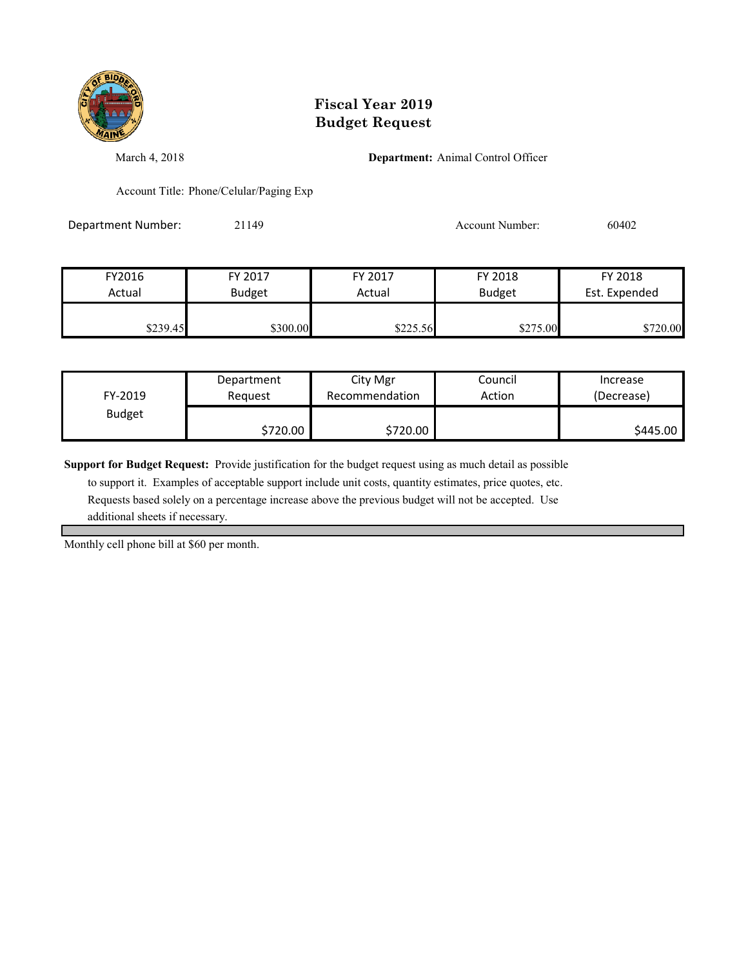

March 4, 2018 **Department:** Animal Control Officer

Account Title: Phone/Celular/Paging Exp

Department Number: 21149 21149 Account Number: 60402

| FY2016   | FY 2017       | FY 2017  | FY 2018       | FY 2018       |
|----------|---------------|----------|---------------|---------------|
| Actual   | <b>Budget</b> | Actual   | <b>Budget</b> | Est. Expended |
|          |               |          |               |               |
| \$239.45 | \$300.00      | \$225.56 | \$275.00      | \$720.00      |

| FY-2019       | Department | City Mgr       | Council | Increase   |
|---------------|------------|----------------|---------|------------|
|               | Reauest    | Recommendation | Action  | (Decrease) |
| <b>Budget</b> | \$720.00   | \$720.00       |         | \$445.00   |

**Support for Budget Request:** Provide justification for the budget request using as much detail as possible

 to support it. Examples of acceptable support include unit costs, quantity estimates, price quotes, etc. Requests based solely on a percentage increase above the previous budget will not be accepted. Use additional sheets if necessary.

Monthly cell phone bill at \$60 per month.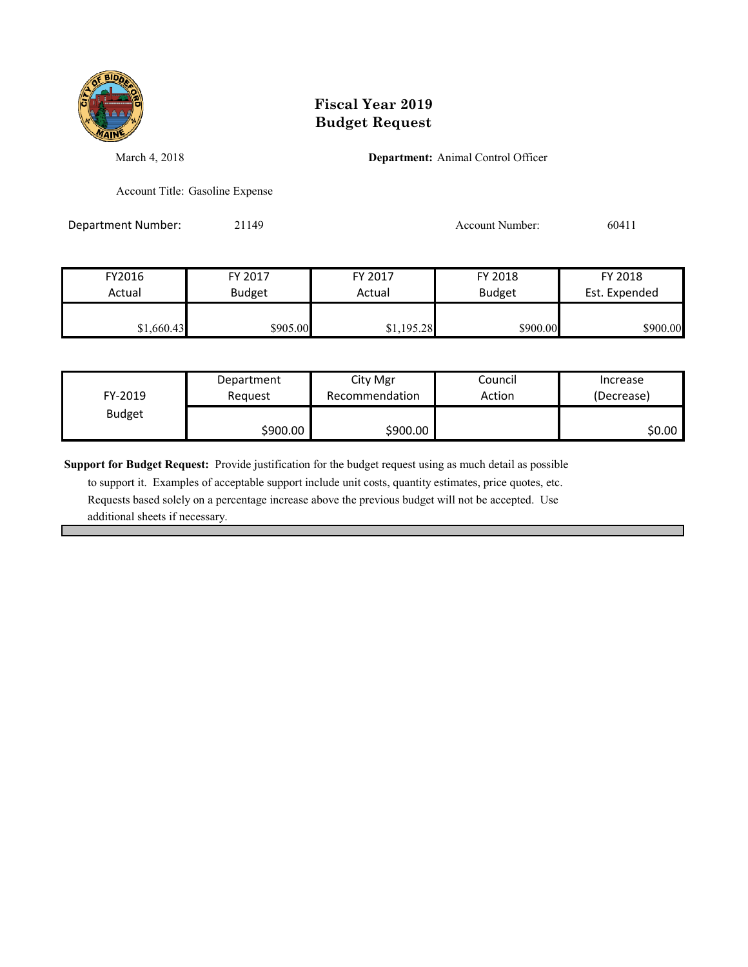

March 4, 2018 **Department:** Animal Control Officer

Account Title: Gasoline Expense

Department Number: 21149 21149 Account Number: 60411

| FY2016     | FY 2017       | FY 2017    | FY 2018                        | FY 2018  |
|------------|---------------|------------|--------------------------------|----------|
| Actual     | <b>Budget</b> | Actual     | Est. Expended<br><b>Budget</b> |          |
|            |               |            |                                |          |
| \$1,660.43 | \$905.00      | \$1,195.28 | \$900.00                       | \$900.00 |

| FY-2019       | Department | City Mgr       | Council | Increase   |
|---------------|------------|----------------|---------|------------|
|               | Request    | Recommendation | Action  | (Decrease) |
| <b>Budget</b> | \$900.00   | \$900.00       |         | \$0.00     |

**Support for Budget Request:** Provide justification for the budget request using as much detail as possible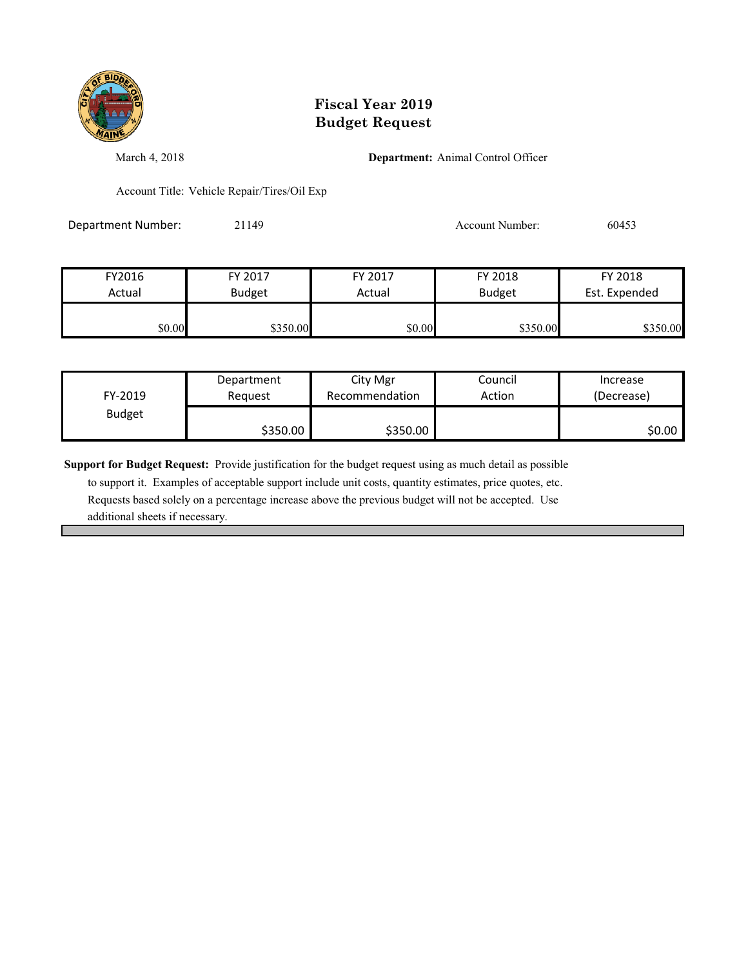

March 4, 2018 **Department:** Animal Control Officer

Account Title: Vehicle Repair/Tires/Oil Exp

| <b>Department Number:</b> | 21149 | Account Number: | 60453 |
|---------------------------|-------|-----------------|-------|
|                           |       |                 |       |

| FY2016 | FY 2017  | FY 2018<br>FY 2017      |          | FY 2018       |
|--------|----------|-------------------------|----------|---------------|
| Actual | Budget   | <b>Budget</b><br>Actual |          | Est. Expended |
|        |          |                         |          |               |
| \$0.00 | \$350.00 | \$0.00                  | \$350.00 | \$350.00      |

| FY-2019       | Department | City Mgr       | Council | Increase   |
|---------------|------------|----------------|---------|------------|
|               | Reguest    | Recommendation | Action  | (Decrease) |
| <b>Budget</b> | \$350.00   | \$350.00       |         | \$0.00     |

**Support for Budget Request:** Provide justification for the budget request using as much detail as possible